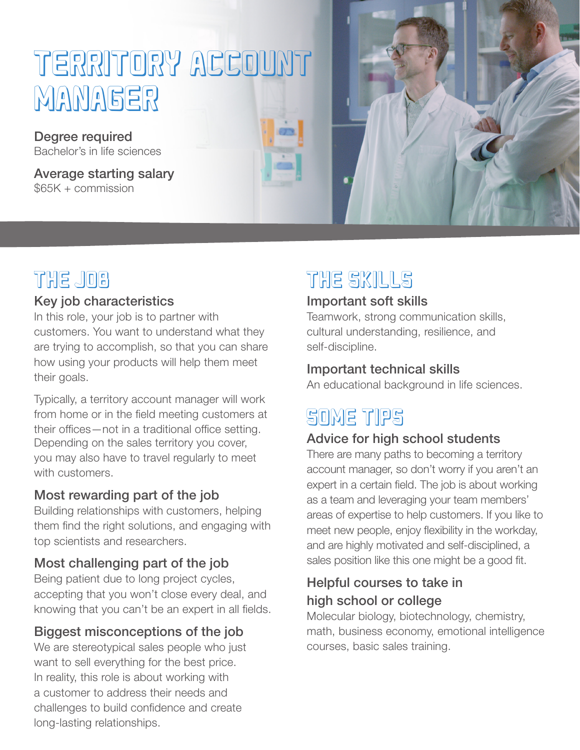# TERRITORY ACCOUNT MANAGER

Degree required Bachelor's in life sciences

Average starting salary \$65K + commission



### THE JOB

#### Key job characteristics

In this role, your job is to partner with customers. You want to understand what they are trying to accomplish, so that you can share how using your products will help them meet their goals.

Typically, a territory account manager will work from home or in the field meeting customers at their offices—not in a traditional office setting. Depending on the sales territory you cover, you may also have to travel regularly to meet with customers.

#### Most rewarding part of the job

Building relationships with customers, helping them find the right solutions, and engaging with top scientists and researchers.

#### Most challenging part of the job

Being patient due to long project cycles, accepting that you won't close every deal, and knowing that you can't be an expert in all fields.

#### Biggest misconceptions of the job

We are stereotypical sales people who just want to sell everything for the best price. In reality, this role is about working with a customer to address their needs and challenges to build confidence and create long-lasting relationships.

# THE SKILLS

#### Important soft skills

Teamwork, strong communication skills, cultural understanding, resilience, and self-discipline.

#### Important technical skills

An educational background in life sciences.

# SOME TIPS

#### Advice for high school students

There are many paths to becoming a territory account manager, so don't worry if you aren't an expert in a certain field. The job is about working as a team and leveraging your team members' areas of expertise to help customers. If you like to meet new people, enjoy flexibility in the workday, and are highly motivated and self-disciplined, a sales position like this one might be a good fit.

#### Helpful courses to take in high school or college

Molecular biology, biotechnology, chemistry, math, business economy, emotional intelligence courses, basic sales training.